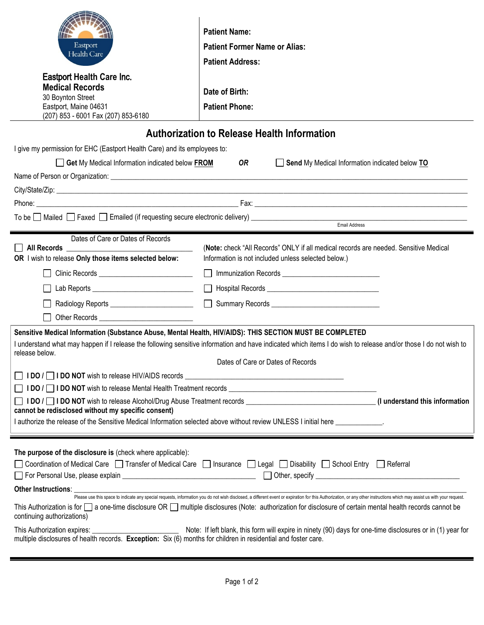| Eastport<br>Health Care<br><b>Eastport Health Care Inc.</b><br><b>Medical Records</b><br>30 Boynton Street<br>Eastport, Maine 04631<br>(207) 853 - 6001 Fax (207) 853-6180                                                                                                                                                         | <b>Patient Name:</b><br><b>Patient Former Name or Alias:</b><br><b>Patient Address:</b><br>Date of Birth:<br><b>Patient Phone:</b>                                                                                                                                                                                                                                                                                                                                                                                               |  |
|------------------------------------------------------------------------------------------------------------------------------------------------------------------------------------------------------------------------------------------------------------------------------------------------------------------------------------|----------------------------------------------------------------------------------------------------------------------------------------------------------------------------------------------------------------------------------------------------------------------------------------------------------------------------------------------------------------------------------------------------------------------------------------------------------------------------------------------------------------------------------|--|
| <b>Authorization to Release Health Information</b>                                                                                                                                                                                                                                                                                 |                                                                                                                                                                                                                                                                                                                                                                                                                                                                                                                                  |  |
| I give my permission for EHC (Eastport Health Care) and its employees to:                                                                                                                                                                                                                                                          |                                                                                                                                                                                                                                                                                                                                                                                                                                                                                                                                  |  |
| Get My Medical Information indicated below FROM<br>OR<br>Send My Medical Information indicated below TO                                                                                                                                                                                                                            |                                                                                                                                                                                                                                                                                                                                                                                                                                                                                                                                  |  |
|                                                                                                                                                                                                                                                                                                                                    |                                                                                                                                                                                                                                                                                                                                                                                                                                                                                                                                  |  |
|                                                                                                                                                                                                                                                                                                                                    |                                                                                                                                                                                                                                                                                                                                                                                                                                                                                                                                  |  |
|                                                                                                                                                                                                                                                                                                                                    |                                                                                                                                                                                                                                                                                                                                                                                                                                                                                                                                  |  |
| Email Address                                                                                                                                                                                                                                                                                                                      |                                                                                                                                                                                                                                                                                                                                                                                                                                                                                                                                  |  |
| Dates of Care or Dates of Records                                                                                                                                                                                                                                                                                                  |                                                                                                                                                                                                                                                                                                                                                                                                                                                                                                                                  |  |
| OR I wish to release Only those items selected below:                                                                                                                                                                                                                                                                              | (Note: check "All Records" ONLY if all medical records are needed. Sensitive Medical<br>Information is not included unless selected below.)                                                                                                                                                                                                                                                                                                                                                                                      |  |
| Clinic Records <u>_______________________</u>                                                                                                                                                                                                                                                                                      |                                                                                                                                                                                                                                                                                                                                                                                                                                                                                                                                  |  |
|                                                                                                                                                                                                                                                                                                                                    |                                                                                                                                                                                                                                                                                                                                                                                                                                                                                                                                  |  |
| Radiology Reports ___________________________                                                                                                                                                                                                                                                                                      |                                                                                                                                                                                                                                                                                                                                                                                                                                                                                                                                  |  |
|                                                                                                                                                                                                                                                                                                                                    |                                                                                                                                                                                                                                                                                                                                                                                                                                                                                                                                  |  |
| Sensitive Medical Information (Substance Abuse, Mental Health, HIV/AIDS): THIS SECTION MUST BE COMPLETED<br>I understand what may happen if I release the following sensitive information and have indicated which items I do wish to release and/or those I do not wish to<br>release below.<br>Dates of Care or Dates of Records |                                                                                                                                                                                                                                                                                                                                                                                                                                                                                                                                  |  |
|                                                                                                                                                                                                                                                                                                                                    |                                                                                                                                                                                                                                                                                                                                                                                                                                                                                                                                  |  |
| IDO / IDO NOT wish to release Alcohol/Drug Abuse Treatment records _________________________________(I understand this information<br>cannot be redisclosed without my specific consent)                                                                                                                                           |                                                                                                                                                                                                                                                                                                                                                                                                                                                                                                                                  |  |
| I authorize the release of the Sensitive Medical Information selected above without review UNLESS I initial here entitled by the Sensitive Medical Information selected above without review UNLESS I initial here                                                                                                                 |                                                                                                                                                                                                                                                                                                                                                                                                                                                                                                                                  |  |
|                                                                                                                                                                                                                                                                                                                                    |                                                                                                                                                                                                                                                                                                                                                                                                                                                                                                                                  |  |
| The purpose of the disclosure is (check where applicable):<br><b>Other Instructions:</b><br>continuing authorizations)                                                                                                                                                                                                             | Coordination of Medical Care   Transfer of Medical Care   Insurance   Legal   Disability   School Entry   Referral<br>-<br>Please use this space to indicate any special requests, information you do not wish disclosed, a different event or expiration for this Authorization, or any other instructions which may assist us with your request.<br>This Authorization is for $\square$ a one-time disclosure OR $\square$ multiple disclosures (Note: authorization for disclosure of certain mental health records cannot be |  |
|                                                                                                                                                                                                                                                                                                                                    |                                                                                                                                                                                                                                                                                                                                                                                                                                                                                                                                  |  |